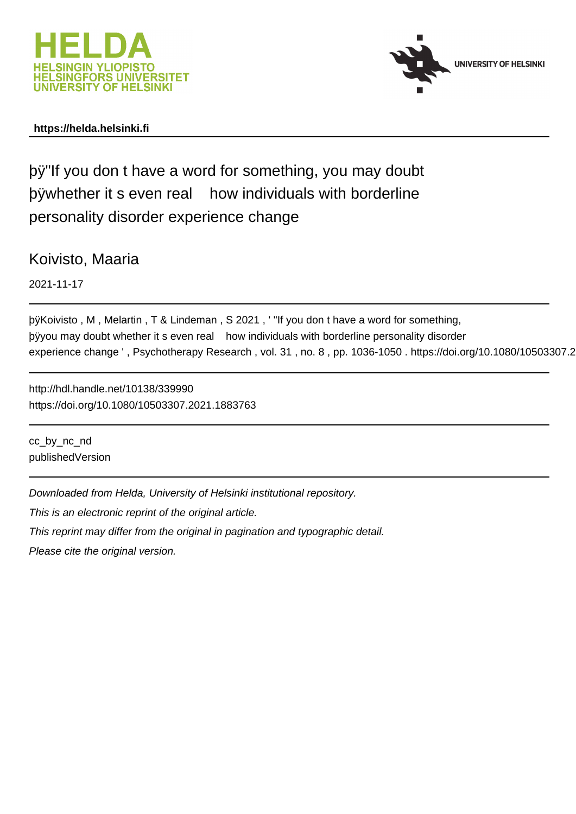



### **https://helda.helsinki.fi**

þÿ"If you don t have a word for something, you ma þÿwhether it seven real how individuals with bo personality disorder experience change

Koivisto, Maaria

2021-11-17

þÿKoivisto , M , Melartin , T & Lindeman , S 2021 , ' "If you don t have a þÿyou may doubt whether it s even real how individuals with borderlin experience change ', Psychotherapy Research, vol. 31, no. 8, pp. 1036-1050. https://doi.org/10.1080/10503307.2

http://hdl.handle.net/10138/339990 https://doi.org/10.1080/10503307.2021.1883763

cc\_by\_nc\_nd publishedVersion

Downloaded from Helda, University of Helsinki institutional repository.

This is an electronic reprint of the original article.

This reprint may differ from the original in pagination and typographic detail.

Please cite the original version.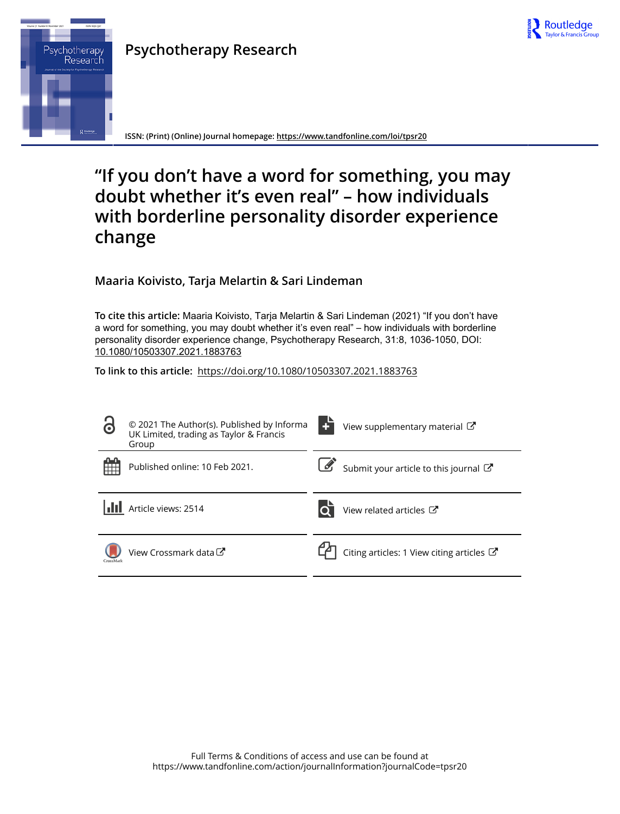

# **Psychotherapy Research**



**ISSN: (Print) (Online) Journal homepage:<https://www.tandfonline.com/loi/tpsr20>**

# **"If you don't have a word for something, you may doubt whether it's even real" – how individuals with borderline personality disorder experience change**

**Maaria Koivisto, Tarja Melartin & Sari Lindeman**

**To cite this article:** Maaria Koivisto, Tarja Melartin & Sari Lindeman (2021) "If you don't have a word for something, you may doubt whether it's even real" – how individuals with borderline personality disorder experience change, Psychotherapy Research, 31:8, 1036-1050, DOI: [10.1080/10503307.2021.1883763](https://www.tandfonline.com/action/showCitFormats?doi=10.1080/10503307.2021.1883763)

**To link to this article:** <https://doi.org/10.1080/10503307.2021.1883763>

| $\bullet$ | © 2021 The Author(s). Published by Informa<br>UK Limited, trading as Taylor & Francis<br>Group | View supplementary material C                        |
|-----------|------------------------------------------------------------------------------------------------|------------------------------------------------------|
|           | Published online: 10 Feb 2021.                                                                 | Submit your article to this journal                  |
|           | Article views: 2514                                                                            | View related articles C                              |
| CrossMark | View Crossmark data C                                                                          | Citing articles: 1 View citing articles $\mathbb{Z}$ |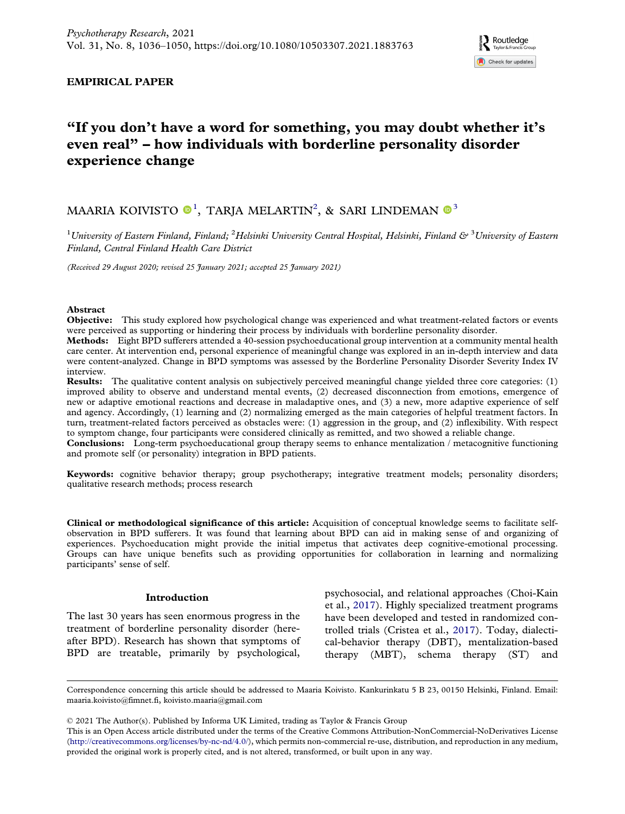### EMPIRICAL PAPER

# "If you don't have a word for something, you may doubt whether it's even real" – how individuals with borderline personality disorder experience change

## MAARIA KOIVISTO $\mathbf{0}^1$ , TARJA MELARTIN<sup>2</sup>, & SARI LINDEMAN $\mathbf{0}^3$

 $^1$ University of Eastern Finland, Finland;  $^2$ Helsinki University Central Hospital, Helsinki, Finland &  $^3$ University of Eastern Finland, Central Finland Health Care District

(Received 29 August 2020; revised 25 January 2021; accepted 25 January 2021)

#### Abstract

Objective: This study explored how psychological change was experienced and what treatment-related factors or events were perceived as supporting or hindering their process by individuals with borderline personality disorder.

Methods: Eight BPD sufferers attended a 40-session psychoeducational group intervention at a community mental health care center. At intervention end, personal experience of meaningful change was explored in an in-depth interview and data were content-analyzed. Change in BPD symptoms was assessed by the Borderline Personality Disorder Severity Index IV interview.

Results: The qualitative content analysis on subjectively perceived meaningful change yielded three core categories: (1) improved ability to observe and understand mental events, (2) decreased disconnection from emotions, emergence of new or adaptive emotional reactions and decrease in maladaptive ones, and (3) a new, more adaptive experience of self and agency. Accordingly, (1) learning and (2) normalizing emerged as the main categories of helpful treatment factors. In turn, treatment-related factors perceived as obstacles were: (1) aggression in the group, and (2) inflexibility. With respect to symptom change, four participants were considered clinically as remitted, and two showed a reliable change.

Conclusions: Long-term psychoeducational group therapy seems to enhance mentalization / metacognitive functioning and promote self (or personality) integration in BPD patients.

Keywords: cognitive behavior therapy; group psychotherapy; integrative treatment models; personality disorders; qualitative research methods; process research

Clinical or methodological significance of this article: Acquisition of conceptual knowledge seems to facilitate selfobservation in BPD sufferers. It was found that learning about BPD can aid in making sense of and organizing of experiences. Psychoeducation might provide the initial impetus that activates deep cognitive-emotional processing. Groups can have unique benefits such as providing opportunities for collaboration in learning and normalizing participants' sense of self.

#### Introduction

The last 30 years has seen enormous progress in the treatment of borderline personality disorder (hereafter BPD). Research has shown that symptoms of BPD are treatable, primarily by psychological,

psychosocial, and relational approaches (Choi-Kain et al., 2017). Highly specialized treatment programs have been developed and tested in randomized controlled trials (Cristea et al., 2017). Today, dialectical-behavior therapy (DBT), mentalization-based therapy (MBT), schema therapy (ST) and

Correspondence concerning this article should be addressed to Maaria Koivisto. Kankurinkatu 5 B 23, 00150 Helsinki, Finland. Email: [maaria.koivisto@fimnet.fi,](mailto:maaria.koivisto@fimnet.fi) [koivisto.maaria@gmail.com](mailto:koivisto.maaria@gmail.com)

© 2021 The Author(s). Published by Informa UK Limited, trading as Taylor & Francis Group

This is an Open Access article distributed under the terms of the Creative Commons Attribution-NonCommercial-NoDerivatives License [\(http://creativecommons.org/licenses/by-nc-nd/4.0/](http://creativecommons.org/licenses/by-nc-nd/4.0/)), which permits non-commercial re-use, distribution, and reproduction in any medium, provided the original work is properly cited, and is not altered, transformed, or built upon in any way.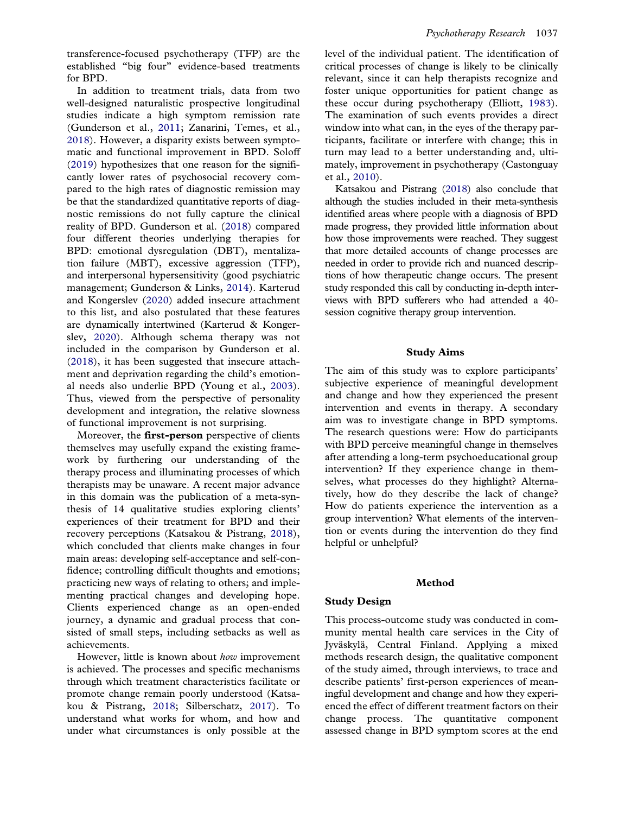transference-focused psychotherapy (TFP) are the established "big four" evidence-based treatments for BPD.

In addition to treatment trials, data from two well-designed naturalistic prospective longitudinal studies indicate a high symptom remission rate (Gunderson et al., 2011; Zanarini, Temes, et al., 2018). However, a disparity exists between symptomatic and functional improvement in BPD. Soloff (2019) hypothesizes that one reason for the significantly lower rates of psychosocial recovery compared to the high rates of diagnostic remission may be that the standardized quantitative reports of diagnostic remissions do not fully capture the clinical reality of BPD. Gunderson et al. (2018) compared four different theories underlying therapies for BPD: emotional dysregulation (DBT), mentalization failure (MBT), excessive aggression (TFP), and interpersonal hypersensitivity (good psychiatric management; Gunderson & Links, 2014). Karterud and Kongerslev (2020) added insecure attachment to this list, and also postulated that these features are dynamically intertwined (Karterud & Kongerslev, 2020). Although schema therapy was not included in the comparison by Gunderson et al. (2018), it has been suggested that insecure attachment and deprivation regarding the child's emotional needs also underlie BPD (Young et al., 2003). Thus, viewed from the perspective of personality development and integration, the relative slowness of functional improvement is not surprising.

Moreover, the **first-person** perspective of clients themselves may usefully expand the existing framework by furthering our understanding of the therapy process and illuminating processes of which therapists may be unaware. A recent major advance in this domain was the publication of a meta-synthesis of 14 qualitative studies exploring clients' experiences of their treatment for BPD and their recovery perceptions (Katsakou & Pistrang, 2018), which concluded that clients make changes in four main areas: developing self-acceptance and self-confidence; controlling difficult thoughts and emotions; practicing new ways of relating to others; and implementing practical changes and developing hope. Clients experienced change as an open-ended journey, a dynamic and gradual process that consisted of small steps, including setbacks as well as achievements.

However, little is known about how improvement is achieved. The processes and specific mechanisms through which treatment characteristics facilitate or promote change remain poorly understood (Katsakou & Pistrang, 2018; Silberschatz, 2017). To understand what works for whom, and how and under what circumstances is only possible at the

level of the individual patient. The identification of critical processes of change is likely to be clinically relevant, since it can help therapists recognize and foster unique opportunities for patient change as these occur during psychotherapy (Elliott, 1983). The examination of such events provides a direct window into what can, in the eyes of the therapy participants, facilitate or interfere with change; this in turn may lead to a better understanding and, ultimately, improvement in psychotherapy (Castonguay et al., 2010).

Katsakou and Pistrang (2018) also conclude that although the studies included in their meta-synthesis identified areas where people with a diagnosis of BPD made progress, they provided little information about how those improvements were reached. They suggest that more detailed accounts of change processes are needed in order to provide rich and nuanced descriptions of how therapeutic change occurs. The present study responded this call by conducting in-depth interviews with BPD sufferers who had attended a 40 session cognitive therapy group intervention.

#### Study Aims

The aim of this study was to explore participants' subjective experience of meaningful development and change and how they experienced the present intervention and events in therapy. A secondary aim was to investigate change in BPD symptoms. The research questions were: How do participants with BPD perceive meaningful change in themselves after attending a long-term psychoeducational group intervention? If they experience change in themselves, what processes do they highlight? Alternatively, how do they describe the lack of change? How do patients experience the intervention as a group intervention? What elements of the intervention or events during the intervention do they find helpful or unhelpful?

#### Method

#### Study Design

This process-outcome study was conducted in community mental health care services in the City of Jyväskylä, Central Finland. Applying a mixed methods research design, the qualitative component of the study aimed, through interviews, to trace and describe patients' first-person experiences of meaningful development and change and how they experienced the effect of different treatment factors on their change process. The quantitative component assessed change in BPD symptom scores at the end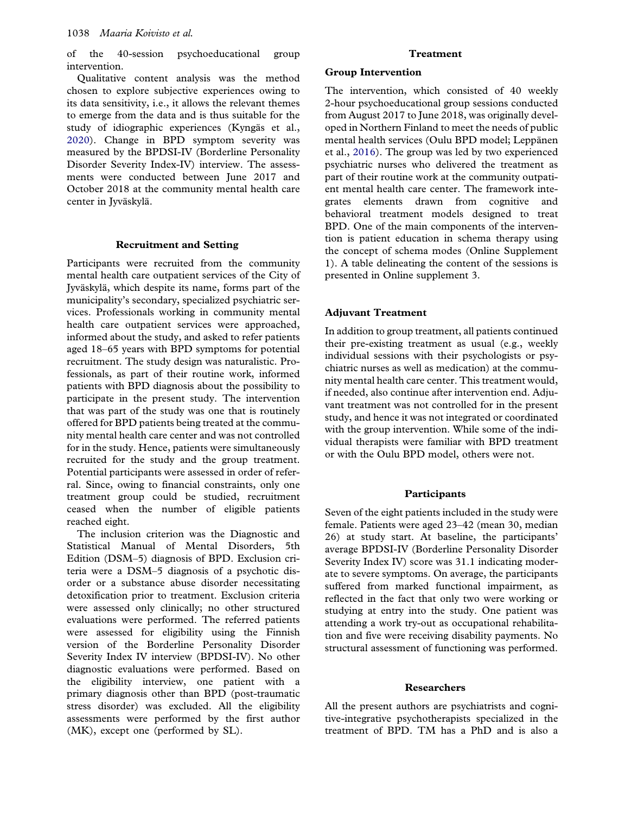of the 40-session psychoeducational group intervention.

Qualitative content analysis was the method chosen to explore subjective experiences owing to its data sensitivity, i.e., it allows the relevant themes to emerge from the data and is thus suitable for the study of idiographic experiences (Kyngäs et al., 2020). Change in BPD symptom severity was measured by the BPDSI-IV (Borderline Personality Disorder Severity Index-IV) interview. The assessments were conducted between June 2017 and October 2018 at the community mental health care center in Jyväskylä.

#### Recruitment and Setting

Participants were recruited from the community mental health care outpatient services of the City of Jyväskylä, which despite its name, forms part of the municipality's secondary, specialized psychiatric services. Professionals working in community mental health care outpatient services were approached, informed about the study, and asked to refer patients aged 18–65 years with BPD symptoms for potential recruitment. The study design was naturalistic. Professionals, as part of their routine work, informed patients with BPD diagnosis about the possibility to participate in the present study. The intervention that was part of the study was one that is routinely offered for BPD patients being treated at the community mental health care center and was not controlled for in the study. Hence, patients were simultaneously recruited for the study and the group treatment. Potential participants were assessed in order of referral. Since, owing to financial constraints, only one treatment group could be studied, recruitment ceased when the number of eligible patients reached eight.

The inclusion criterion was the Diagnostic and Statistical Manual of Mental Disorders, 5th Edition (DSM–5) diagnosis of BPD. Exclusion criteria were a DSM–5 diagnosis of a psychotic disorder or a substance abuse disorder necessitating detoxification prior to treatment. Exclusion criteria were assessed only clinically; no other structured evaluations were performed. The referred patients were assessed for eligibility using the Finnish version of the Borderline Personality Disorder Severity Index IV interview (BPDSI-IV). No other diagnostic evaluations were performed. Based on the eligibility interview, one patient with a primary diagnosis other than BPD (post-traumatic stress disorder) was excluded. All the eligibility assessments were performed by the first author (MK), except one (performed by SL).

#### Treatment

#### Group Intervention

The intervention, which consisted of 40 weekly 2-hour psychoeducational group sessions conducted from August 2017 to June 2018, was originally developed in Northern Finland to meet the needs of public mental health services (Oulu BPD model; Leppänen et al., 2016). The group was led by two experienced psychiatric nurses who delivered the treatment as part of their routine work at the community outpatient mental health care center. The framework integrates elements drawn from cognitive and behavioral treatment models designed to treat BPD. One of the main components of the intervention is patient education in schema therapy using the concept of schema modes (Online Supplement 1). A table delineating the content of the sessions is presented in Online supplement 3.

#### Adjuvant Treatment

In addition to group treatment, all patients continued their pre-existing treatment as usual (e.g., weekly individual sessions with their psychologists or psychiatric nurses as well as medication) at the community mental health care center. This treatment would, if needed, also continue after intervention end. Adjuvant treatment was not controlled for in the present study, and hence it was not integrated or coordinated with the group intervention. While some of the individual therapists were familiar with BPD treatment or with the Oulu BPD model, others were not.

#### **Participants**

Seven of the eight patients included in the study were female. Patients were aged 23–42 (mean 30, median 26) at study start. At baseline, the participants' average BPDSI-IV (Borderline Personality Disorder Severity Index IV) score was 31.1 indicating moderate to severe symptoms. On average, the participants suffered from marked functional impairment, as reflected in the fact that only two were working or studying at entry into the study. One patient was attending a work try-out as occupational rehabilitation and five were receiving disability payments. No structural assessment of functioning was performed.

#### Researchers

All the present authors are psychiatrists and cognitive-integrative psychotherapists specialized in the treatment of BPD. TM has a PhD and is also a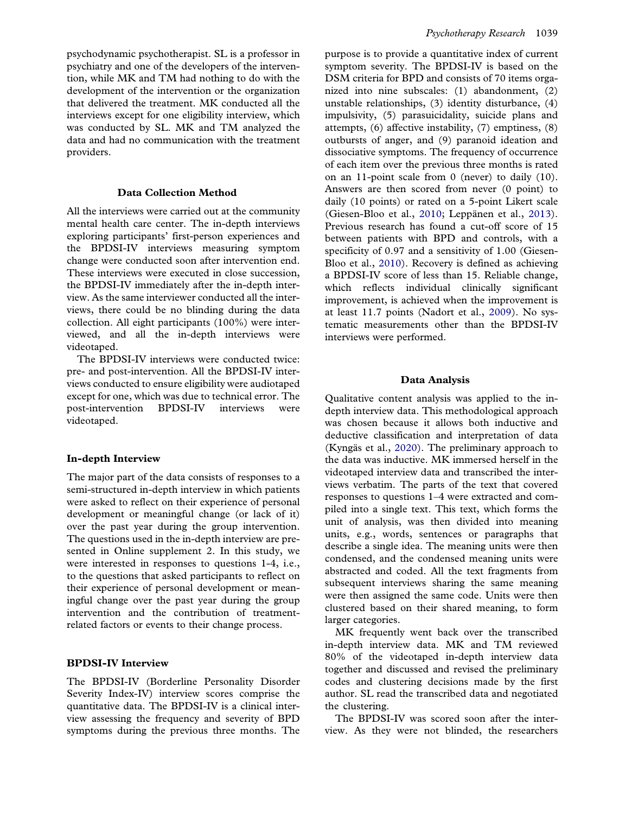psychodynamic psychotherapist. SL is a professor in psychiatry and one of the developers of the intervention, while MK and TM had nothing to do with the development of the intervention or the organization that delivered the treatment. MK conducted all the interviews except for one eligibility interview, which was conducted by SL. MK and TM analyzed the data and had no communication with the treatment providers.

#### Data Collection Method

All the interviews were carried out at the community mental health care center. The in-depth interviews exploring participants' first-person experiences and the BPDSI-IV interviews measuring symptom change were conducted soon after intervention end. These interviews were executed in close succession, the BPDSI-IV immediately after the in-depth interview. As the same interviewer conducted all the interviews, there could be no blinding during the data collection. All eight participants (100%) were interviewed, and all the in-depth interviews were videotaped.

The BPDSI-IV interviews were conducted twice: pre- and post-intervention. All the BPDSI-IV interviews conducted to ensure eligibility were audiotaped except for one, which was due to technical error. The post-intervention BPDSI-IV interviews were videotaped.

#### In-depth Interview

The major part of the data consists of responses to a semi-structured in-depth interview in which patients were asked to reflect on their experience of personal development or meaningful change (or lack of it) over the past year during the group intervention. The questions used in the in-depth interview are presented in Online supplement 2. In this study, we were interested in responses to questions 1-4, i.e., to the questions that asked participants to reflect on their experience of personal development or meaningful change over the past year during the group intervention and the contribution of treatmentrelated factors or events to their change process.

#### BPDSI-IV Interview

The BPDSI-IV (Borderline Personality Disorder Severity Index-IV) interview scores comprise the quantitative data. The BPDSI-IV is a clinical interview assessing the frequency and severity of BPD symptoms during the previous three months. The

purpose is to provide a quantitative index of current symptom severity. The BPDSI-IV is based on the DSM criteria for BPD and consists of 70 items organized into nine subscales: (1) abandonment, (2) unstable relationships, (3) identity disturbance, (4) impulsivity, (5) parasuicidality, suicide plans and attempts, (6) affective instability, (7) emptiness, (8) outbursts of anger, and (9) paranoid ideation and dissociative symptoms. The frequency of occurrence of each item over the previous three months is rated on an 11-point scale from 0 (never) to daily (10). Answers are then scored from never (0 point) to daily (10 points) or rated on a 5-point Likert scale (Giesen-Bloo et al., 2010; Leppänen et al., 2013). Previous research has found a cut-off score of 15 between patients with BPD and controls, with a specificity of 0.97 and a sensitivity of 1.00 (Giesen-Bloo et al., 2010). Recovery is defined as achieving a BPDSI-IV score of less than 15. Reliable change, which reflects individual clinically significant improvement, is achieved when the improvement is at least 11.7 points (Nadort et al., 2009). No systematic measurements other than the BPDSI-IV interviews were performed.

#### Data Analysis

Qualitative content analysis was applied to the indepth interview data. This methodological approach was chosen because it allows both inductive and deductive classification and interpretation of data (Kyngäs et al., 2020). The preliminary approach to the data was inductive. MK immersed herself in the videotaped interview data and transcribed the interviews verbatim. The parts of the text that covered responses to questions 1–4 were extracted and compiled into a single text. This text, which forms the unit of analysis, was then divided into meaning units, e.g., words, sentences or paragraphs that describe a single idea. The meaning units were then condensed, and the condensed meaning units were abstracted and coded. All the text fragments from subsequent interviews sharing the same meaning were then assigned the same code. Units were then clustered based on their shared meaning, to form larger categories.

MK frequently went back over the transcribed in-depth interview data. MK and TM reviewed 80% of the videotaped in-depth interview data together and discussed and revised the preliminary codes and clustering decisions made by the first author. SL read the transcribed data and negotiated the clustering.

The BPDSI-IV was scored soon after the interview. As they were not blinded, the researchers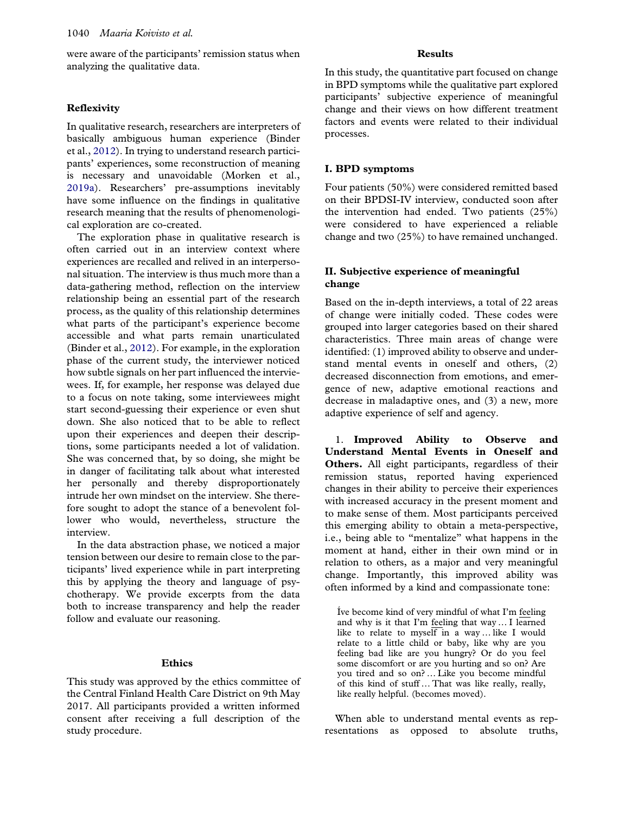were aware of the participants' remission status when analyzing the qualitative data.

#### Reflexivity

In qualitative research, researchers are interpreters of basically ambiguous human experience (Binder et al., 2012). In trying to understand research participants' experiences, some reconstruction of meaning is necessary and unavoidable (Morken et al., 2019a). Researchers' pre-assumptions inevitably have some influence on the findings in qualitative research meaning that the results of phenomenological exploration are co-created.

The exploration phase in qualitative research is often carried out in an interview context where experiences are recalled and relived in an interpersonal situation. The interview is thus much more than a data-gathering method, reflection on the interview relationship being an essential part of the research process, as the quality of this relationship determines what parts of the participant's experience become accessible and what parts remain unarticulated (Binder et al., 2012). For example, in the exploration phase of the current study, the interviewer noticed how subtle signals on her part influenced the interviewees. If, for example, her response was delayed due to a focus on note taking, some interviewees might start second-guessing their experience or even shut down. She also noticed that to be able to reflect upon their experiences and deepen their descriptions, some participants needed a lot of validation. She was concerned that, by so doing, she might be in danger of facilitating talk about what interested her personally and thereby disproportionately intrude her own mindset on the interview. She therefore sought to adopt the stance of a benevolent follower who would, nevertheless, structure the interview.

In the data abstraction phase, we noticed a major tension between our desire to remain close to the participants' lived experience while in part interpreting this by applying the theory and language of psychotherapy. We provide excerpts from the data both to increase transparency and help the reader follow and evaluate our reasoning.

#### Ethics

This study was approved by the ethics committee of the Central Finland Health Care District on 9th May 2017. All participants provided a written informed consent after receiving a full description of the study procedure.

#### Results

In this study, the quantitative part focused on change in BPD symptoms while the qualitative part explored participants' subjective experience of meaningful change and their views on how different treatment factors and events were related to their individual processes.

#### I. BPD symptoms

Four patients (50%) were considered remitted based on their BPDSI-IV interview, conducted soon after the intervention had ended. Two patients (25%) were considered to have experienced a reliable change and two (25%) to have remained unchanged.

#### II. Subjective experience of meaningful change

Based on the in-depth interviews, a total of 22 areas of change were initially coded. These codes were grouped into larger categories based on their shared characteristics. Three main areas of change were identified: (1) improved ability to observe and understand mental events in oneself and others, (2) decreased disconnection from emotions, and emergence of new, adaptive emotional reactions and decrease in maladaptive ones, and (3) a new, more adaptive experience of self and agency.

1. Improved Ability to Observe and Understand Mental Events in Oneself and Others. All eight participants, regardless of their remission status, reported having experienced changes in their ability to perceive their experiences with increased accuracy in the present moment and to make sense of them. Most participants perceived this emerging ability to obtain a meta-perspective, i.e., being able to "mentalize" what happens in the moment at hand, either in their own mind or in relation to others, as a major and very meaningful change. Importantly, this improved ability was often informed by a kind and compassionate tone:

Íve become kind of very mindful of what I'm feeling and why is it that I'm feeling that way … I learned like to relate to myself in a way … like I would relate to a little child or baby, like why are you feeling bad like are you hungry? Or do you feel some discomfort or are you hurting and so on? Are you tired and so on? … Like you become mindful of this kind of stuff … That was like really, really, like really helpful. (becomes moved).

When able to understand mental events as representations as opposed to absolute truths,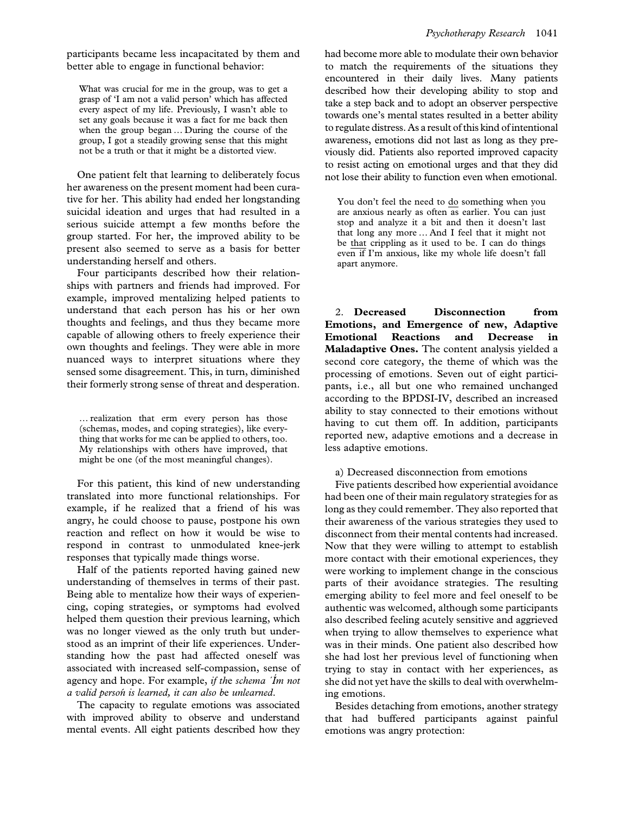participants became less incapacitated by them and better able to engage in functional behavior:

What was crucial for me in the group, was to get a grasp of 'I am not a valid person' which has affected every aspect of my life. Previously, I wasn't able to set any goals because it was a fact for me back then when the group began … During the course of the group, I got a steadily growing sense that this might not be a truth or that it might be a distorted view.

One patient felt that learning to deliberately focus her awareness on the present moment had been curative for her. This ability had ended her longstanding suicidal ideation and urges that had resulted in a serious suicide attempt a few months before the group started. For her, the improved ability to be present also seemed to serve as a basis for better understanding herself and others.

Four participants described how their relationships with partners and friends had improved. For example, improved mentalizing helped patients to understand that each person has his or her own thoughts and feelings, and thus they became more capable of allowing others to freely experience their own thoughts and feelings. They were able in more nuanced ways to interpret situations where they sensed some disagreement. This, in turn, diminished their formerly strong sense of threat and desperation.

… realization that erm every person has those (schemas, modes, and coping strategies), like everything that works for me can be applied to others, too. My relationships with others have improved, that might be one (of the most meaningful changes).

For this patient, this kind of new understanding translated into more functional relationships. For example, if he realized that a friend of his was angry, he could choose to pause, postpone his own reaction and reflect on how it would be wise to respond in contrast to unmodulated knee-jerk responses that typically made things worse.

Half of the patients reported having gained new understanding of themselves in terms of their past. Being able to mentalize how their ways of experiencing, coping strategies, or symptoms had evolved helped them question their previous learning, which was no longer viewed as the only truth but understood as an imprint of their life experiences. Understanding how the past had affected oneself was associated with increased self-compassion, sense of agency and hope. For example, if the schema  $'Im$  not a valid persoń is learned, it can also be unlearned.

The capacity to regulate emotions was associated with improved ability to observe and understand mental events. All eight patients described how they had become more able to modulate their own behavior to match the requirements of the situations they encountered in their daily lives. Many patients described how their developing ability to stop and take a step back and to adopt an observer perspective towards one's mental states resulted in a better ability to regulate distress. As a result of this kind of intentional awareness, emotions did not last as long as they previously did. Patients also reported improved capacity to resist acting on emotional urges and that they did not lose their ability to function even when emotional.

You don't feel the need to do something when you are anxious nearly as often as earlier. You can just stop and analyze it a bit and then it doesn't last that long any more … And I feel that it might not be that crippling as it used to be. I can do things even if I'm anxious, like my whole life doesn't fall apart anymore.

2. Decreased Disconnection from Emotions, and Emergence of new, Adaptive Emotional Reactions and Decrease in Maladaptive Ones. The content analysis yielded a second core category, the theme of which was the processing of emotions. Seven out of eight participants, i.e., all but one who remained unchanged according to the BPDSI-IV, described an increased ability to stay connected to their emotions without having to cut them off. In addition, participants reported new, adaptive emotions and a decrease in less adaptive emotions.

a) Decreased disconnection from emotions

Five patients described how experiential avoidance had been one of their main regulatory strategies for as long as they could remember. They also reported that their awareness of the various strategies they used to disconnect from their mental contents had increased. Now that they were willing to attempt to establish more contact with their emotional experiences, they were working to implement change in the conscious parts of their avoidance strategies. The resulting emerging ability to feel more and feel oneself to be authentic was welcomed, although some participants also described feeling acutely sensitive and aggrieved when trying to allow themselves to experience what was in their minds. One patient also described how she had lost her previous level of functioning when trying to stay in contact with her experiences, as she did not yet have the skills to deal with overwhelming emotions.

Besides detaching from emotions, another strategy that had buffered participants against painful emotions was angry protection: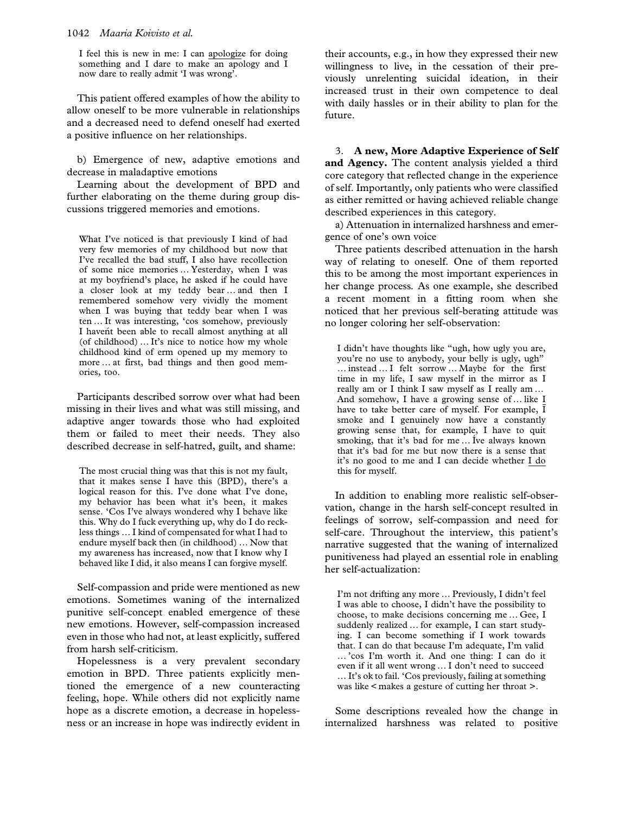I feel this is new in me: I can apologize for doing something and I dare to make an apology and I now dare to really admit 'I was wrong'.

This patient offered examples of how the ability to allow oneself to be more vulnerable in relationships and a decreased need to defend oneself had exerted a positive influence on her relationships.

b) Emergence of new, adaptive emotions and decrease in maladaptive emotions

Learning about the development of BPD and further elaborating on the theme during group discussions triggered memories and emotions.

What I've noticed is that previously I kind of had very few memories of my childhood but now that I've recalled the bad stuff, I also have recollection of some nice memories … Yesterday, when I was at my boyfriend's place, he asked if he could have a closer look at my teddy bear … and then I remembered somehow very vividly the moment when I was buying that teddy bear when I was ten … It was interesting, 'cos somehow, previously I havent been able to recall almost anything at all (of childhood) … It's nice to notice how my whole childhood kind of erm opened up my memory to more … at first, bad things and then good memories, too.

Participants described sorrow over what had been missing in their lives and what was still missing, and adaptive anger towards those who had exploited them or failed to meet their needs. They also described decrease in self-hatred, guilt, and shame:

The most crucial thing was that this is not my fault, that it makes sense I have this (BPD), there's a logical reason for this. I've done what I've done, my behavior has been what it's been, it makes sense. 'Cos I've always wondered why I behave like this. Why do I fuck everything up, why do I do reckless things … I kind of compensated for what I had to endure myself back then (in childhood) … Now that my awareness has increased, now that I know why I behaved like I did, it also means I can forgive myself.

Self-compassion and pride were mentioned as new emotions. Sometimes waning of the internalized punitive self-concept enabled emergence of these new emotions. However, self-compassion increased even in those who had not, at least explicitly, suffered from harsh self-criticism.

Hopelessness is a very prevalent secondary emotion in BPD. Three patients explicitly mentioned the emergence of a new counteracting feeling, hope. While others did not explicitly name hope as a discrete emotion, a decrease in hopelessness or an increase in hope was indirectly evident in their accounts, e.g., in how they expressed their new willingness to live, in the cessation of their previously unrelenting suicidal ideation, in their increased trust in their own competence to deal with daily hassles or in their ability to plan for the future.

3. A new, More Adaptive Experience of Self and Agency. The content analysis yielded a third core category that reflected change in the experience of self. Importantly, only patients who were classified as either remitted or having achieved reliable change described experiences in this category.

a) Attenuation in internalized harshness and emergence of one's own voice

Three patients described attenuation in the harsh way of relating to oneself. One of them reported this to be among the most important experiences in her change process. As one example, she described a recent moment in a fitting room when she noticed that her previous self-berating attitude was no longer coloring her self-observation:

I didn't have thoughts like "ugh, how ugly you are, you're no use to anybody, your belly is ugly, ugh" … instead … I felt sorrow … Maybe for the first time in my life, I saw myself in the mirror as I really am or I think I saw myself as I really am … And somehow, I have a growing sense of … like I have to take better care of myself. For example,  $\overline{I}$ smoke and I genuinely now have a constantly growing sense that, for example, I have to quit smoking, that it's bad for me … Íve always known that it's bad for me but now there is a sense that it's no good to me and I can decide whether I do this for myself.

In addition to enabling more realistic self-observation, change in the harsh self-concept resulted in feelings of sorrow, self-compassion and need for self-care. Throughout the interview, this patient's narrative suggested that the waning of internalized punitiveness had played an essential role in enabling her self-actualization:

I'm not drifting any more … Previously, I didn't feel I was able to choose, I didn't have the possibility to choose, to make decisions concerning me … Gee, I suddenly realized … for example, I can start studying. I can become something if I work towards that. I can do that because I'm adequate, I'm valid … 'cos I'm worth it. And one thing: I can do it even if it all went wrong … I don't need to succeed … It's ok to fail. 'Cos previously, failing at something was like < makes a gesture of cutting her throat >.

Some descriptions revealed how the change in internalized harshness was related to positive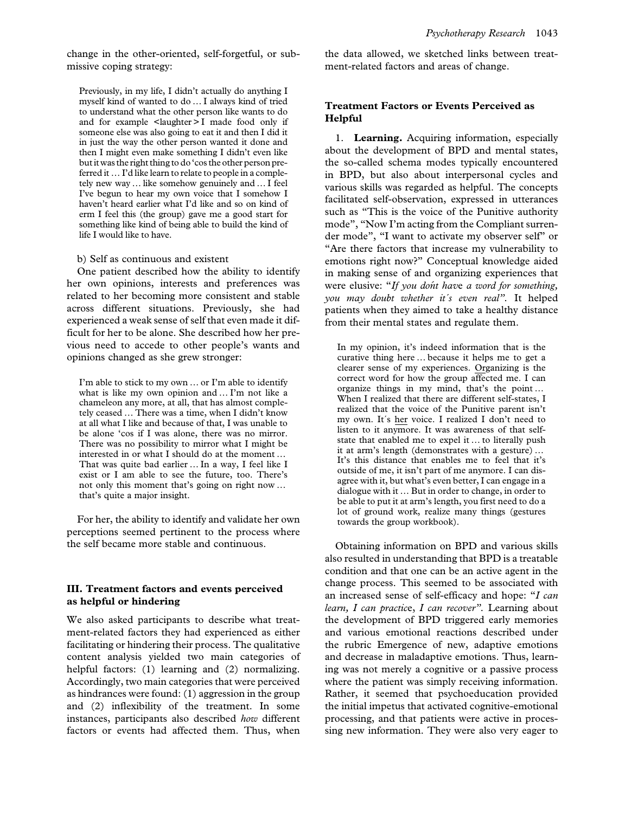change in the other-oriented, self-forgetful, or submissive coping strategy:

Previously, in my life, I didn't actually do anything I myself kind of wanted to do … I always kind of tried to understand what the other person like wants to do and for example <laughter > I made food only if someone else was also going to eat it and then I did it in just the way the other person wanted it done and then I might even make something I didn't even like butit was the right thing to do'cos the other person preferred it … I'd like learn to relate to people in a completely new way … like somehow genuinely and … I feel I've begun to hear my own voice that I somehow I haven't heard earlier what I'd like and so on kind of erm I feel this (the group) gave me a good start for something like kind of being able to build the kind of life I would like to have.

#### b) Self as continuous and existent

One patient described how the ability to identify her own opinions, interests and preferences was related to her becoming more consistent and stable across different situations. Previously, she had experienced a weak sense of self that even made it difficult for her to be alone. She described how her previous need to accede to other people's wants and opinions changed as she grew stronger:

I'm able to stick to my own … or I'm able to identify what is like my own opinion and … I'm not like a chameleon any more, at all, that has almost completely ceased … There was a time, when I didn't know at all what I like and because of that, I was unable to be alone 'cos if I was alone, there was no mirror. There was no possibility to mirror what I might be interested in or what I should do at the moment … That was quite bad earlier … In a way, I feel like I exist or I am able to see the future, too. There's not only this moment that's going on right now … that's quite a major insight.

For her, the ability to identify and validate her own perceptions seemed pertinent to the process where the self became more stable and continuous.

#### III. Treatment factors and events perceived as helpful or hindering

We also asked participants to describe what treatment-related factors they had experienced as either facilitating or hindering their process. The qualitative content analysis yielded two main categories of helpful factors: (1) learning and (2) normalizing. Accordingly, two main categories that were perceived as hindrances were found: (1) aggression in the group and (2) inflexibility of the treatment. In some instances, participants also described how different factors or events had affected them. Thus, when the data allowed, we sketched links between treatment-related factors and areas of change.

#### Treatment Factors or Events Perceived as Helpful

1. Learning. Acquiring information, especially about the development of BPD and mental states, the so-called schema modes typically encountered in BPD, but also about interpersonal cycles and various skills was regarded as helpful. The concepts facilitated self-observation, expressed in utterances such as "This is the voice of the Punitive authority mode", "Now I'm acting from the Compliant surrender mode", "I want to activate my observer self" or "Are there factors that increase my vulnerability to emotions right now?" Conceptual knowledge aided in making sense of and organizing experiences that were elusive: "If you dont have a word for something, you may doubt whether it´s even real". It helped patients when they aimed to take a healthy distance from their mental states and regulate them.

In my opinion, it's indeed information that is the curative thing here … because it helps me to get a clearer sense of my experiences. Organizing is the correct word for how the group affected me. I can organize things in my mind, that's the point … When I realized that there are different self-states, I realized that the voice of the Punitive parent isn't my own. It´s her voice. I realized I don't need to listen to it anymore. It was awareness of that selfstate that enabled me to expel it … to literally push it at arm's length (demonstrates with a gesture) … It's this distance that enables me to feel that it's outside of me, it isn't part of me anymore. I can disagree with it, but what's even better, I can engage in a dialogue with it … But in order to change, in order to be able to put it at arm's length, you first need to do a lot of ground work, realize many things (gestures towards the group workbook).

Obtaining information on BPD and various skills also resulted in understanding that BPD is a treatable condition and that one can be an active agent in the change process. This seemed to be associated with an increased sense of self-efficacy and hope: "I can learn, I can practice, I can recover". Learning about the development of BPD triggered early memories and various emotional reactions described under the rubric Emergence of new, adaptive emotions and decrease in maladaptive emotions. Thus, learning was not merely a cognitive or a passive process where the patient was simply receiving information. Rather, it seemed that psychoeducation provided the initial impetus that activated cognitive-emotional processing, and that patients were active in processing new information. They were also very eager to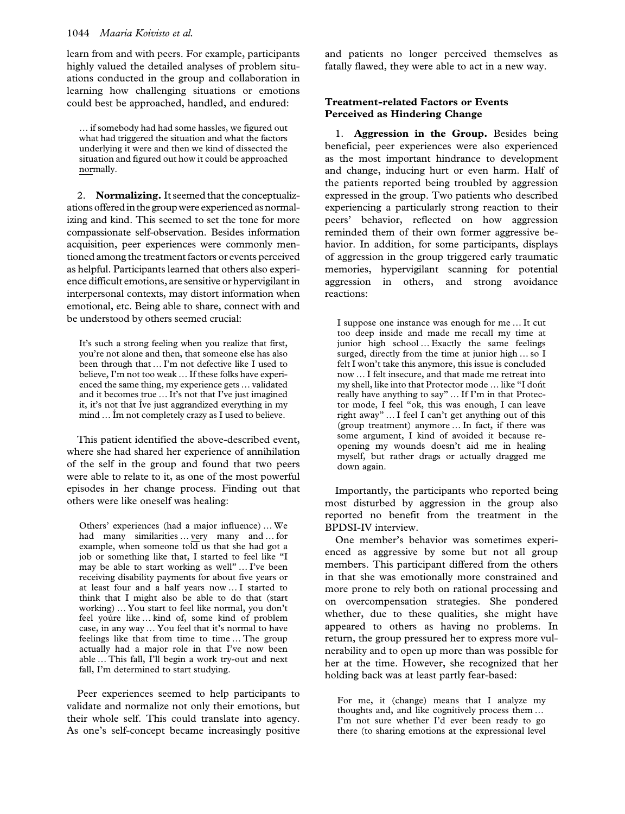learn from and with peers. For example, participants highly valued the detailed analyses of problem situations conducted in the group and collaboration in learning how challenging situations or emotions could best be approached, handled, and endured:

… if somebody had had some hassles, we figured out what had triggered the situation and what the factors underlying it were and then we kind of dissected the situation and figured out how it could be approached normally.

2. Normalizing. It seemed that the conceptualizations offered in the group were experienced as normalizing and kind. This seemed to set the tone for more compassionate self-observation. Besides information acquisition, peer experiences were commonly mentioned among the treatment factors or events perceived as helpful. Participants learned that others also experience difficult emotions, are sensitive or hypervigilant in interpersonal contexts, may distort information when emotional, etc. Being able to share, connect with and be understood by others seemed crucial:

It's such a strong feeling when you realize that first, you're not alone and then, that someone else has also been through that … I'm not defective like I used to believe, I'm not too weak … If these folks have experienced the same thing, my experience gets … validated and it becomes true … It's not that I've just imagined it, it's not that Íve just aggrandized everything in my mind … Ím not completely crazy as I used to believe.

This patient identified the above-described event, where she had shared her experience of annihilation of the self in the group and found that two peers were able to relate to it, as one of the most powerful episodes in her change process. Finding out that others were like oneself was healing:

Others' experiences (had a major influence) … We had many similarities … very many and … for example, when someone told us that she had got a job or something like that, I started to feel like "I may be able to start working as well" … I've been receiving disability payments for about five years or at least four and a half years now … I started to think that I might also be able to do that (start working) … You start to feel like normal, you don't feel yoúre like … kind of, some kind of problem case, in any way … You feel that it's normal to have feelings like that from time to time … The group actually had a major role in that I've now been able … This fall, I'll begin a work try-out and next fall, I'm determined to start studying.

Peer experiences seemed to help participants to validate and normalize not only their emotions, but their whole self. This could translate into agency. As one's self-concept became increasingly positive and patients no longer perceived themselves as fatally flawed, they were able to act in a new way.

#### Treatment-related Factors or Events Perceived as Hindering Change

1. Aggression in the Group. Besides being beneficial, peer experiences were also experienced as the most important hindrance to development and change, inducing hurt or even harm. Half of the patients reported being troubled by aggression expressed in the group. Two patients who described experiencing a particularly strong reaction to their peers' behavior, reflected on how aggression reminded them of their own former aggressive behavior. In addition, for some participants, displays of aggression in the group triggered early traumatic memories, hypervigilant scanning for potential aggression in others, and strong avoidance reactions:

I suppose one instance was enough for me … It cut too deep inside and made me recall my time at junior high school … Exactly the same feelings surged, directly from the time at junior high ... so I felt I won't take this anymore, this issue is concluded now … I felt insecure, and that made me retreat into my shell, like into that Protector mode ... like "I dont really have anything to say" … If I'm in that Protector mode, I feel "ok, this was enough, I can leave right away" … I feel I can't get anything out of this (group treatment) anymore … In fact, if there was some argument, I kind of avoided it because reopening my wounds doesn't aid me in healing myself, but rather drags or actually dragged me down again.

Importantly, the participants who reported being most disturbed by aggression in the group also reported no benefit from the treatment in the BPDSI-IV interview.

One member's behavior was sometimes experienced as aggressive by some but not all group members. This participant differed from the others in that she was emotionally more constrained and more prone to rely both on rational processing and on overcompensation strategies. She pondered whether, due to these qualities, she might have appeared to others as having no problems. In return, the group pressured her to express more vulnerability and to open up more than was possible for her at the time. However, she recognized that her holding back was at least partly fear-based:

For me, it (change) means that I analyze my thoughts and, and like cognitively process them … I'm not sure whether I'd ever been ready to go there (to sharing emotions at the expressional level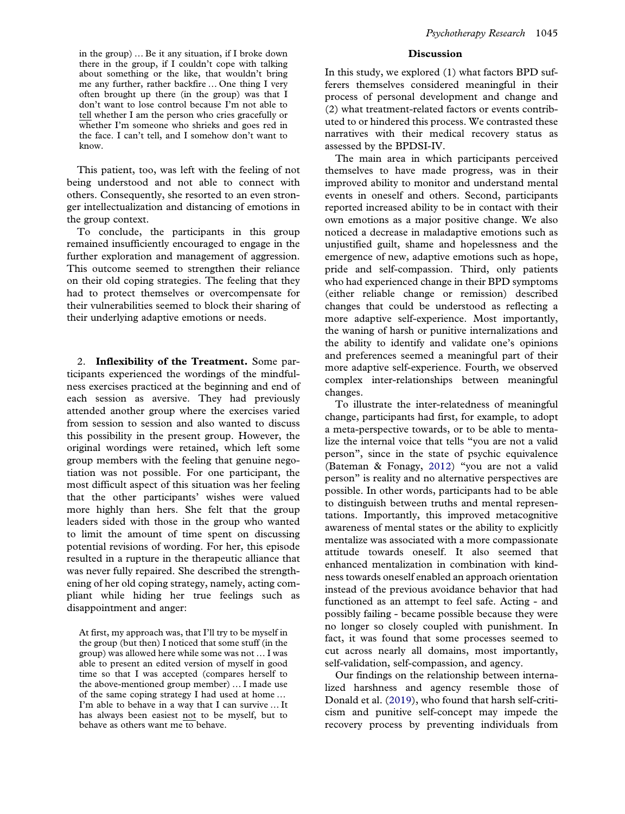in the group) … Be it any situation, if I broke down there in the group, if I couldn't cope with talking about something or the like, that wouldn't bring me any further, rather backfire … One thing I very often brought up there (in the group) was that I don't want to lose control because I'm not able to tell whether I am the person who cries gracefully or whether I'm someone who shrieks and goes red in the face. I can't tell, and I somehow don't want to know.

This patient, too, was left with the feeling of not being understood and not able to connect with others. Consequently, she resorted to an even stronger intellectualization and distancing of emotions in the group context.

To conclude, the participants in this group remained insufficiently encouraged to engage in the further exploration and management of aggression. This outcome seemed to strengthen their reliance on their old coping strategies. The feeling that they had to protect themselves or overcompensate for their vulnerabilities seemed to block their sharing of their underlying adaptive emotions or needs.

2. Inflexibility of the Treatment. Some participants experienced the wordings of the mindfulness exercises practiced at the beginning and end of each session as aversive. They had previously attended another group where the exercises varied from session to session and also wanted to discuss this possibility in the present group. However, the original wordings were retained, which left some group members with the feeling that genuine negotiation was not possible. For one participant, the most difficult aspect of this situation was her feeling that the other participants' wishes were valued more highly than hers. She felt that the group leaders sided with those in the group who wanted to limit the amount of time spent on discussing potential revisions of wording. For her, this episode resulted in a rupture in the therapeutic alliance that was never fully repaired. She described the strengthening of her old coping strategy, namely, acting compliant while hiding her true feelings such as disappointment and anger:

At first, my approach was, that I'll try to be myself in the group (but then) I noticed that some stuff (in the group) was allowed here while some was not … I was able to present an edited version of myself in good time so that I was accepted (compares herself to the above-mentioned group member) … I made use of the same coping strategy I had used at home … I'm able to behave in a way that I can survive … It has always been easiest not to be myself, but to behave as others want me to behave.

#### Discussion

In this study, we explored (1) what factors BPD sufferers themselves considered meaningful in their process of personal development and change and (2) what treatment-related factors or events contributed to or hindered this process. We contrasted these narratives with their medical recovery status as assessed by the BPDSI-IV.

The main area in which participants perceived themselves to have made progress, was in their improved ability to monitor and understand mental events in oneself and others. Second, participants reported increased ability to be in contact with their own emotions as a major positive change. We also noticed a decrease in maladaptive emotions such as unjustified guilt, shame and hopelessness and the emergence of new, adaptive emotions such as hope, pride and self-compassion. Third, only patients who had experienced change in their BPD symptoms (either reliable change or remission) described changes that could be understood as reflecting a more adaptive self-experience. Most importantly, the waning of harsh or punitive internalizations and the ability to identify and validate one's opinions and preferences seemed a meaningful part of their more adaptive self-experience. Fourth, we observed complex inter-relationships between meaningful changes.

To illustrate the inter-relatedness of meaningful change, participants had first, for example, to adopt a meta-perspective towards, or to be able to mentalize the internal voice that tells "you are not a valid person", since in the state of psychic equivalence (Bateman & Fonagy, 2012) "you are not a valid person" is reality and no alternative perspectives are possible. In other words, participants had to be able to distinguish between truths and mental representations. Importantly, this improved metacognitive awareness of mental states or the ability to explicitly mentalize was associated with a more compassionate attitude towards oneself. It also seemed that enhanced mentalization in combination with kindness towards oneself enabled an approach orientation instead of the previous avoidance behavior that had functioned as an attempt to feel safe. Acting - and possibly failing - became possible because they were no longer so closely coupled with punishment. In fact, it was found that some processes seemed to cut across nearly all domains, most importantly, self-validation, self-compassion, and agency.

Our findings on the relationship between internalized harshness and agency resemble those of Donald et al. (2019), who found that harsh self-criticism and punitive self-concept may impede the recovery process by preventing individuals from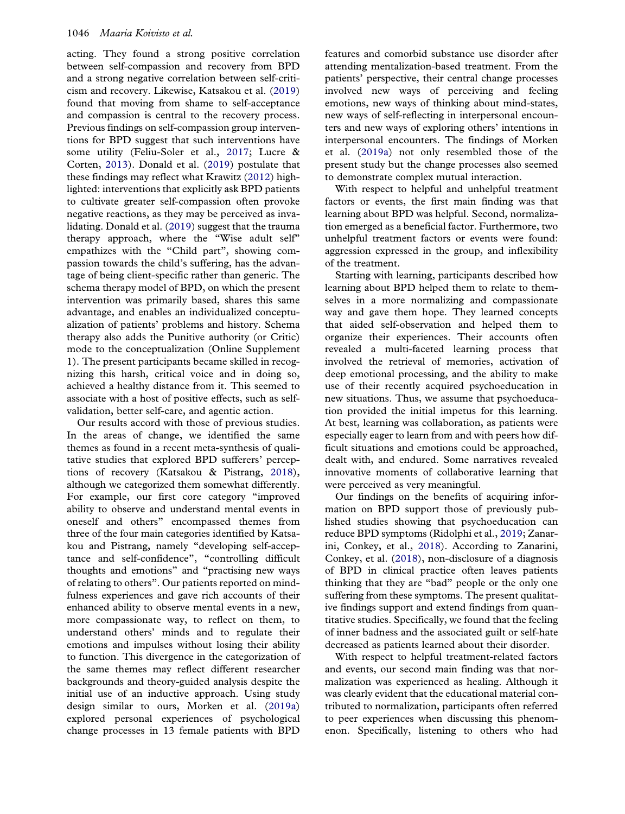acting. They found a strong positive correlation between self-compassion and recovery from BPD and a strong negative correlation between self-criticism and recovery. Likewise, Katsakou et al. (2019) found that moving from shame to self-acceptance and compassion is central to the recovery process. Previous findings on self-compassion group interventions for BPD suggest that such interventions have some utility (Feliu-Soler et al., 2017; Lucre & Corten, 2013). Donald et al. (2019) postulate that these findings may reflect what Krawitz (2012) highlighted: interventions that explicitly ask BPD patients to cultivate greater self-compassion often provoke negative reactions, as they may be perceived as invalidating. Donald et al. (2019) suggest that the trauma therapy approach, where the "Wise adult self" empathizes with the "Child part", showing compassion towards the child's suffering, has the advantage of being client-specific rather than generic. The schema therapy model of BPD, on which the present intervention was primarily based, shares this same advantage, and enables an individualized conceptualization of patients' problems and history. Schema therapy also adds the Punitive authority (or Critic) mode to the conceptualization (Online Supplement 1). The present participants became skilled in recognizing this harsh, critical voice and in doing so, achieved a healthy distance from it. This seemed to associate with a host of positive effects, such as selfvalidation, better self-care, and agentic action.

Our results accord with those of previous studies. In the areas of change, we identified the same themes as found in a recent meta-synthesis of qualitative studies that explored BPD sufferers' perceptions of recovery (Katsakou & Pistrang, 2018), although we categorized them somewhat differently. For example, our first core category "improved ability to observe and understand mental events in oneself and others" encompassed themes from three of the four main categories identified by Katsakou and Pistrang, namely "developing self-acceptance and self-confidence", "controlling difficult thoughts and emotions" and "practising new ways of relating to others". Our patients reported on mindfulness experiences and gave rich accounts of their enhanced ability to observe mental events in a new, more compassionate way, to reflect on them, to understand others' minds and to regulate their emotions and impulses without losing their ability to function. This divergence in the categorization of the same themes may reflect different researcher backgrounds and theory-guided analysis despite the initial use of an inductive approach. Using study design similar to ours, Morken et al. (2019a) explored personal experiences of psychological change processes in 13 female patients with BPD

features and comorbid substance use disorder after attending mentalization-based treatment. From the patients' perspective, their central change processes involved new ways of perceiving and feeling emotions, new ways of thinking about mind-states, new ways of self-reflecting in interpersonal encounters and new ways of exploring others' intentions in interpersonal encounters. The findings of Morken et al. (2019a) not only resembled those of the present study but the change processes also seemed to demonstrate complex mutual interaction.

With respect to helpful and unhelpful treatment factors or events, the first main finding was that learning about BPD was helpful. Second, normalization emerged as a beneficial factor. Furthermore, two unhelpful treatment factors or events were found: aggression expressed in the group, and inflexibility of the treatment.

Starting with learning, participants described how learning about BPD helped them to relate to themselves in a more normalizing and compassionate way and gave them hope. They learned concepts that aided self-observation and helped them to organize their experiences. Their accounts often revealed a multi-faceted learning process that involved the retrieval of memories, activation of deep emotional processing, and the ability to make use of their recently acquired psychoeducation in new situations. Thus, we assume that psychoeducation provided the initial impetus for this learning. At best, learning was collaboration, as patients were especially eager to learn from and with peers how difficult situations and emotions could be approached, dealt with, and endured. Some narratives revealed innovative moments of collaborative learning that were perceived as very meaningful.

Our findings on the benefits of acquiring information on BPD support those of previously published studies showing that psychoeducation can reduce BPD symptoms (Ridolphi et al., 2019; Zanarini, Conkey, et al., 2018). According to Zanarini, Conkey, et al. (2018), non-disclosure of a diagnosis of BPD in clinical practice often leaves patients thinking that they are "bad" people or the only one suffering from these symptoms. The present qualitative findings support and extend findings from quantitative studies. Specifically, we found that the feeling of inner badness and the associated guilt or self-hate decreased as patients learned about their disorder.

With respect to helpful treatment-related factors and events, our second main finding was that normalization was experienced as healing. Although it was clearly evident that the educational material contributed to normalization, participants often referred to peer experiences when discussing this phenomenon. Specifically, listening to others who had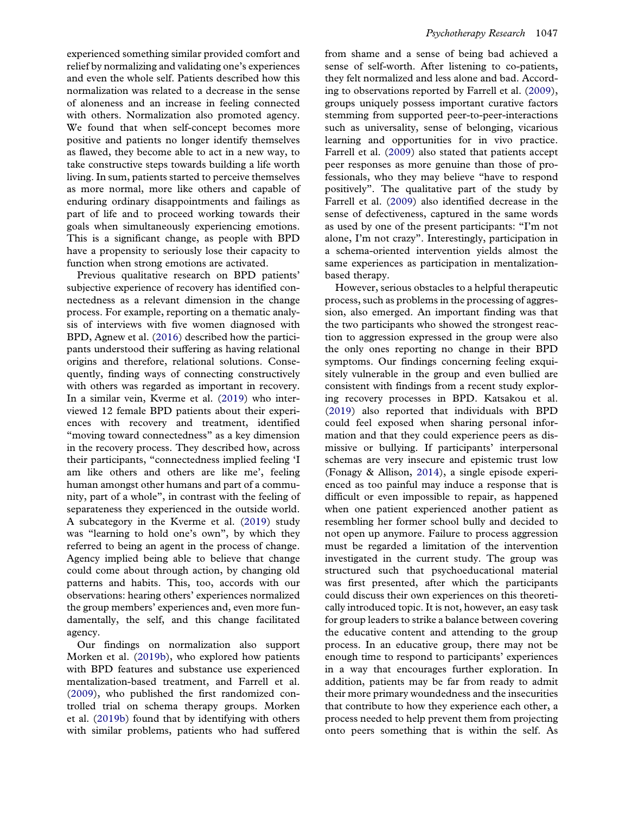relief by normalizing and validating one's experiences and even the whole self. Patients described how this normalization was related to a decrease in the sense of aloneness and an increase in feeling connected with others. Normalization also promoted agency. We found that when self-concept becomes more positive and patients no longer identify themselves as flawed, they become able to act in a new way, to take constructive steps towards building a life worth living. In sum, patients started to perceive themselves as more normal, more like others and capable of enduring ordinary disappointments and failings as part of life and to proceed working towards their goals when simultaneously experiencing emotions. This is a significant change, as people with BPD have a propensity to seriously lose their capacity to function when strong emotions are activated.

Previous qualitative research on BPD patients' subjective experience of recovery has identified connectedness as a relevant dimension in the change process. For example, reporting on a thematic analysis of interviews with five women diagnosed with BPD, Agnew et al. (2016) described how the participants understood their suffering as having relational origins and therefore, relational solutions. Consequently, finding ways of connecting constructively with others was regarded as important in recovery. In a similar vein, Kverme et al. (2019) who interviewed 12 female BPD patients about their experiences with recovery and treatment, identified "moving toward connectedness" as a key dimension in the recovery process. They described how, across their participants, "connectedness implied feeling 'I am like others and others are like me', feeling human amongst other humans and part of a community, part of a whole", in contrast with the feeling of separateness they experienced in the outside world. A subcategory in the Kverme et al. (2019) study was "learning to hold one's own", by which they referred to being an agent in the process of change. Agency implied being able to believe that change could come about through action, by changing old patterns and habits. This, too, accords with our observations: hearing others' experiences normalized the group members' experiences and, even more fundamentally, the self, and this change facilitated agency.

Our findings on normalization also support Morken et al. (2019b), who explored how patients with BPD features and substance use experienced mentalization-based treatment, and Farrell et al. (2009), who published the first randomized controlled trial on schema therapy groups. Morken et al. (2019b) found that by identifying with others with similar problems, patients who had suffered sense of self-worth. After listening to co-patients, they felt normalized and less alone and bad. According to observations reported by Farrell et al. (2009), groups uniquely possess important curative factors stemming from supported peer-to-peer-interactions such as universality, sense of belonging, vicarious learning and opportunities for in vivo practice. Farrell et al. (2009) also stated that patients accept peer responses as more genuine than those of professionals, who they may believe "have to respond positively". The qualitative part of the study by Farrell et al. (2009) also identified decrease in the sense of defectiveness, captured in the same words as used by one of the present participants: "I'm not alone, I'm not crazy". Interestingly, participation in a schema-oriented intervention yields almost the same experiences as participation in mentalizationbased therapy.

However, serious obstacles to a helpful therapeutic process, such as problems in the processing of aggression, also emerged. An important finding was that the two participants who showed the strongest reaction to aggression expressed in the group were also the only ones reporting no change in their BPD symptoms. Our findings concerning feeling exquisitely vulnerable in the group and even bullied are consistent with findings from a recent study exploring recovery processes in BPD. Katsakou et al. (2019) also reported that individuals with BPD could feel exposed when sharing personal information and that they could experience peers as dismissive or bullying. If participants' interpersonal schemas are very insecure and epistemic trust low (Fonagy & Allison, 2014), a single episode experienced as too painful may induce a response that is difficult or even impossible to repair, as happened when one patient experienced another patient as resembling her former school bully and decided to not open up anymore. Failure to process aggression must be regarded a limitation of the intervention investigated in the current study. The group was structured such that psychoeducational material was first presented, after which the participants could discuss their own experiences on this theoretically introduced topic. It is not, however, an easy task for group leaders to strike a balance between covering the educative content and attending to the group process. In an educative group, there may not be enough time to respond to participants' experiences in a way that encourages further exploration. In addition, patients may be far from ready to admit their more primary woundedness and the insecurities that contribute to how they experience each other, a process needed to help prevent them from projecting onto peers something that is within the self. As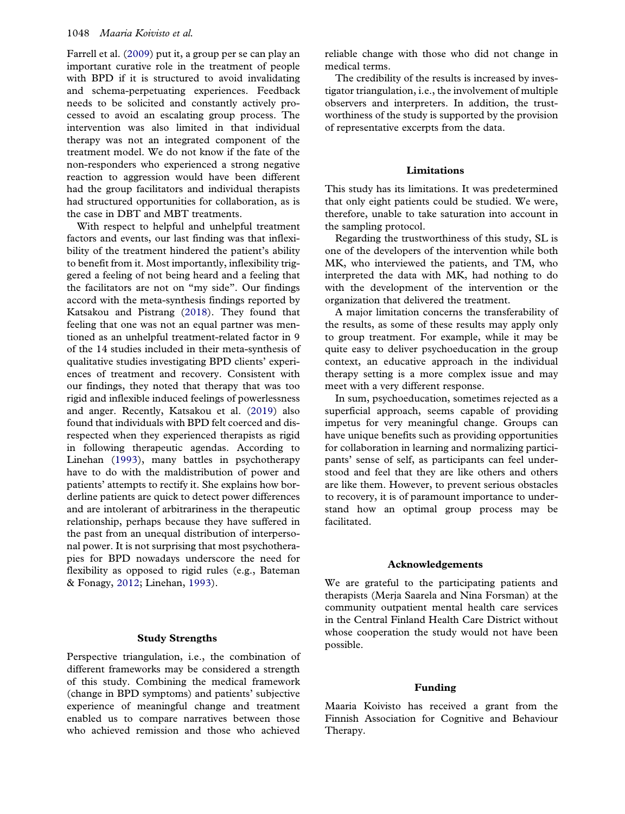Farrell et al. (2009) put it, a group per se can play an important curative role in the treatment of people with BPD if it is structured to avoid invalidating and schema-perpetuating experiences. Feedback needs to be solicited and constantly actively processed to avoid an escalating group process. The intervention was also limited in that individual therapy was not an integrated component of the treatment model. We do not know if the fate of the non-responders who experienced a strong negative reaction to aggression would have been different had the group facilitators and individual therapists had structured opportunities for collaboration, as is the case in DBT and MBT treatments.

With respect to helpful and unhelpful treatment factors and events, our last finding was that inflexibility of the treatment hindered the patient's ability to benefit from it. Most importantly, inflexibility triggered a feeling of not being heard and a feeling that the facilitators are not on "my side". Our findings accord with the meta-synthesis findings reported by Katsakou and Pistrang (2018). They found that feeling that one was not an equal partner was mentioned as an unhelpful treatment-related factor in 9 of the 14 studies included in their meta-synthesis of qualitative studies investigating BPD clients' experiences of treatment and recovery. Consistent with our findings, they noted that therapy that was too rigid and inflexible induced feelings of powerlessness and anger. Recently, Katsakou et al. (2019) also found that individuals with BPD felt coerced and disrespected when they experienced therapists as rigid in following therapeutic agendas. According to Linehan (1993), many battles in psychotherapy have to do with the maldistribution of power and patients' attempts to rectify it. She explains how borderline patients are quick to detect power differences and are intolerant of arbitrariness in the therapeutic relationship, perhaps because they have suffered in the past from an unequal distribution of interpersonal power. It is not surprising that most psychotherapies for BPD nowadays underscore the need for flexibility as opposed to rigid rules (e.g., Bateman & Fonagy, 2012; Linehan, 1993).

#### Study Strengths

Perspective triangulation, i.e., the combination of different frameworks may be considered a strength of this study. Combining the medical framework (change in BPD symptoms) and patients' subjective experience of meaningful change and treatment enabled us to compare narratives between those who achieved remission and those who achieved reliable change with those who did not change in medical terms.

The credibility of the results is increased by investigator triangulation, i.e., the involvement of multiple observers and interpreters. In addition, the trustworthiness of the study is supported by the provision of representative excerpts from the data.

#### Limitations

This study has its limitations. It was predetermined that only eight patients could be studied. We were, therefore, unable to take saturation into account in the sampling protocol.

Regarding the trustworthiness of this study, SL is one of the developers of the intervention while both MK, who interviewed the patients, and TM, who interpreted the data with MK, had nothing to do with the development of the intervention or the organization that delivered the treatment.

A major limitation concerns the transferability of the results, as some of these results may apply only to group treatment. For example, while it may be quite easy to deliver psychoeducation in the group context, an educative approach in the individual therapy setting is a more complex issue and may meet with a very different response.

In sum, psychoeducation, sometimes rejected as a superficial approach, seems capable of providing impetus for very meaningful change. Groups can have unique benefits such as providing opportunities for collaboration in learning and normalizing participants' sense of self, as participants can feel understood and feel that they are like others and others are like them. However, to prevent serious obstacles to recovery, it is of paramount importance to understand how an optimal group process may be facilitated.

#### Acknowledgements

We are grateful to the participating patients and therapists (Merja Saarela and Nina Forsman) at the community outpatient mental health care services in the Central Finland Health Care District without whose cooperation the study would not have been possible.

#### Funding

Maaria Koivisto has received a grant from the Finnish Association for Cognitive and Behaviour Therapy.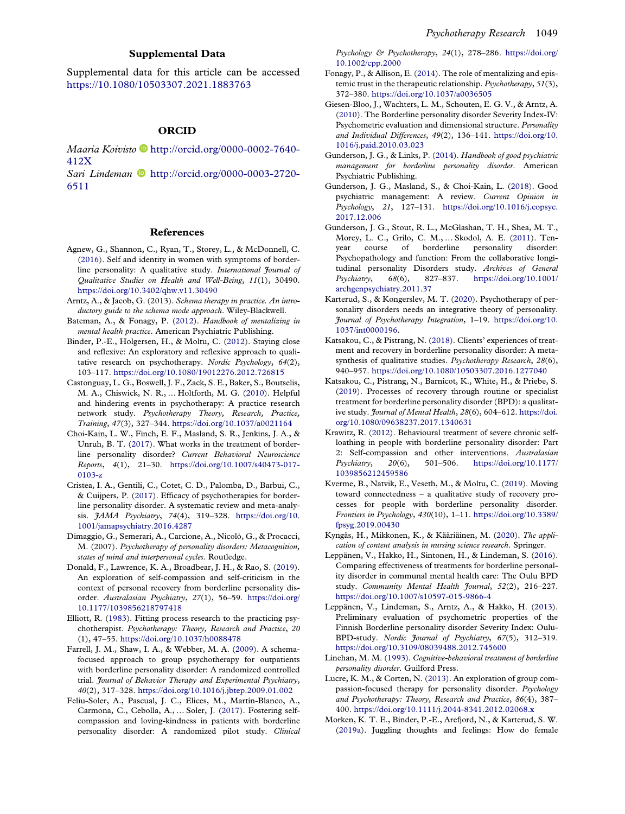#### Supplemental Data

Supplemental data for this article can be accessed <https://10.1080/10503307.2021.1883763>

#### ORCID

Maaria Koivisto D[http://orcid.org/0000-0002-7640-](http://orcid.org/0000-0002-7640-412X) [412X](http://orcid.org/0000-0002-7640-412X)

Sari Lindeman [http://orcid.org/0000-0003-2720-](http://orcid.org/0000-0003-2720-6511) [6511](http://orcid.org/0000-0003-2720-6511)

#### References

- Agnew, G., Shannon, C., Ryan, T., Storey, L., & McDonnell, C. (2016). Self and identity in women with symptoms of borderline personality: A qualitative study. International Journal of Qualitative Studies on Health and Well-Being, 11(1), 30490. <https://doi.org/10.3402/qhw.v11.30490>
- Arntz, A., & Jacob, G. (2013). Schema therapy in practice. An introductory guide to the schema mode approach. Wiley-Blackwell.
- Bateman, A., & Fonagy, P. (2012). Handbook of mentalizing in mental health practice. American Psychiatric Publishing.
- Binder, P.-E., Holgersen, H., & Moltu, C. (2012). Staying close and reflexive: An exploratory and reflexive approach to qualitative research on psychotherapy. Nordic Psychology, 64(2), 103–117. <https://doi.org/10.1080/19012276.2012.726815>
- Castonguay, L. G., Boswell, J. F., Zack, S. E., Baker, S., Boutselis, M. A., Chiswick, N. R., … Holtforth, M. G. (2010). Helpful and hindering events in psychotherapy: A practice research network study. Psychotherapy Theory, Research, Practice, Training, 47(3), 327–344. <https://doi.org/10.1037/a0021164>
- Choi-Kain, L. W., Finch, E. F., Masland, S. R., Jenkins, J. A., & Unruh, B. T. (2017). What works in the treatment of borderline personality disorder? Current Behavioral Neuroscience Reports, 4(1), 21–30. [https://doi.org/10.1007/s40473-017-](https://doi.org/10.1007/s40473-017-0103-z) [0103-z](https://doi.org/10.1007/s40473-017-0103-z)
- Cristea, I. A., Gentili, C., Cotet, C. D., Palomba, D., Barbui, C., & Cuijpers, P. (2017). Efficacy of psychotherapies for borderline personality disorder. A systematic review and meta-analysis. *JAMA Psychiatry*, 74(4), 319-328. [https://doi.org/10.](https://doi.org/10.1001/jamapsychiatry.2016.4287) [1001/jamapsychiatry.2016.4287](https://doi.org/10.1001/jamapsychiatry.2016.4287)
- Dimaggio, G., Semerari, A., Carcione, A., Nicolò, G., & Procacci, M. (2007). Psychotherapy of personality disorders: Metacognition, states of mind and interpersonal cycles. Routledge.
- Donald, F., Lawrence, K. A., Broadbear, J. H., & Rao, S. (2019). An exploration of self-compassion and self-criticism in the context of personal recovery from borderline personality disorder. Australasian Psychiatry, 27(1), 56–59. [https://doi.org/](https://doi.org/10.1177/1039856218797418) [10.1177/1039856218797418](https://doi.org/10.1177/1039856218797418)
- Elliott, R. (1983). Fitting process research to the practicing psychotherapist. Psychotherapy: Theory, Research and Practice, 20 (1), 47–55. <https://doi.org/10.1037/h0088478>
- Farrell, J. M., Shaw, I. A., & Webber, M. A. (2009). A schemafocused approach to group psychotherapy for outpatients with borderline personality disorder: A randomized controlled trial. Journal of Behavior Therapy and Experimental Psychiatry, 40(2), 317–328. <https://doi.org/10.1016/j.jbtep.2009.01.002>
- Feliu-Soler, A., Pascual, J. C., Elices, M., Martín-Blanco, A., Carmona, C., Cebolla, A., … Soler, J. (2017). Fostering selfcompassion and loving-kindness in patients with borderline personality disorder: A randomized pilot study. Clinical

Psychology & Psychotherapy, 24(1), 278–286. [https://doi.org/](https://doi.org/10.1002/cpp.2000) [10.1002/cpp.2000](https://doi.org/10.1002/cpp.2000)

- Fonagy, P., & Allison, E. (2014). The role of mentalizing and epistemic trust in the therapeutic relationship. Psychotherapy, 51(3), 372–380. <https://doi.org/10.1037/a0036505>
- Giesen-Bloo, J., Wachters, L. M., Schouten, E. G. V., & Arntz, A. (2010). The Borderline personality disorder Severity Index-IV: Psychometric evaluation and dimensional structure. Personality and Individual Differences, 49(2), 136–141. [https://doi.org/10.](https://doi.org/10.1016/j.paid.2010.03.023) [1016/j.paid.2010.03.023](https://doi.org/10.1016/j.paid.2010.03.023)
- Gunderson, J. G., & Links, P. (2014). Handbook of good psychiatric management for borderline personality disorder. American Psychiatric Publishing.
- Gunderson, J. G., Masland, S., & Choi-Kain, L. (2018). Good psychiatric management: A review. Current Opinion in Psychology, 21, 127–131. [https://doi.org/10.1016/j.copsyc.](https://doi.org/10.1016/j.copsyc.2017.12.006) [2017.12.006](https://doi.org/10.1016/j.copsyc.2017.12.006)
- Gunderson, J. G., Stout, R. L., McGlashan, T. H., Shea, M. T., Morey, L. C., Grilo, C. M., … Skodol, A. E. (2011). Tenyear course of borderline personality disorder: Psychopathology and function: From the collaborative longitudinal personality Disorders study. Archives of General Psychiatry, 68(6), 827–837. [https://doi.org/10.1001/](https://doi.org/10.1001/archgenpsychiatry.2011.37) [archgenpsychiatry.2011.37](https://doi.org/10.1001/archgenpsychiatry.2011.37)
- Karterud, S., & Kongerslev, M. T. (2020). Psychotherapy of personality disorders needs an integrative theory of personality. Journal of Psychotherapy Integration, 1–19. [https://doi.org/10.](https://doi.org/10.1037/int0000196) [1037/int0000196.](https://doi.org/10.1037/int0000196)
- Katsakou, C., & Pistrang, N. (2018). Clients' experiences of treatment and recovery in borderline personality disorder: A metasynthesis of qualitative studies. Psychotherapy Research, 28(6), 940–957. <https://doi.org/10.1080/10503307.2016.1277040>
- Katsakou, C., Pistrang, N., Barnicot, K., White, H., & Priebe, S. (2019). Processes of recovery through routine or specialist treatment for borderline personality disorder (BPD): a qualitative study. Journal of Mental Health, 28(6), 604-612. [https://doi.](https://doi.org/10.1080/09638237.2017.1340631) [org/10.1080/09638237.2017.1340631](https://doi.org/10.1080/09638237.2017.1340631)
- Krawitz, R. (2012). Behavioural treatment of severe chronic selfloathing in people with borderline personality disorder: Part 2: Self-compassion and other interventions. Australasian Psychiatry, 20(6), 501–506. [https://doi.org/10.1177/](https://doi.org/10.1177/1039856212459586) [1039856212459586](https://doi.org/10.1177/1039856212459586)
- Kverme, B., Natvik, E., Veseth, M., & Moltu, C. (2019). Moving toward connectedness – a qualitative study of recovery processes for people with borderline personality disorder. Frontiers in Psychology, 430(10), 1–11. [https://doi.org/10.3389/](https://doi.org/10.3389/fpsyg.2019.00430) [fpsyg.2019.00430](https://doi.org/10.3389/fpsyg.2019.00430)
- Kyngäs, H., Mikkonen, K., & Kääriäinen, M. (2020). The application of content analysis in nursing science research. Springer.
- Leppänen, V., Hakko, H., Sintonen, H., & Lindeman, S. (2016). Comparing effectiveness of treatments for borderline personality disorder in communal mental health care: The Oulu BPD study. Community Mental Health Journal, 52(2), 216-227. <https://doi.org/10.1007/s10597-015-9866-4>
- Leppänen, V., Lindeman, S., Arntz, A., & Hakko, H. (2013). Preliminary evaluation of psychometric properties of the Finnish Borderline personality disorder Severity Index: Oulu-BPD-study. Nordic Journal of Psychiatry, 67(5), 312-319. <https://doi.org/10.3109/08039488.2012.745600>
- Linehan, M. M. (1993). Cognitive-behavioral treatment of borderline personality disorder. Guilford Press.
- Lucre, K. M., & Corten, N. (2013). An exploration of group compassion-focused therapy for personality disorder. Psychology and Psychotherapy: Theory, Research and Practice, 86(4), 387– 400. <https://doi.org/10.1111/j.2044-8341.2012.02068.x>
- Morken, K. T. E., Binder, P.-E., Arefjord, N., & Karterud, S. W. (2019a). Juggling thoughts and feelings: How do female